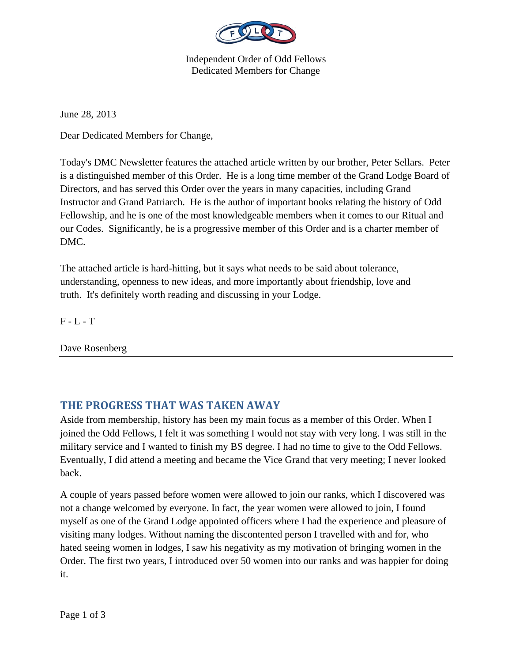

Independent Order of Odd Fellows Dedicated Members for Change

June 28, 2013

Dear Dedicated Members for Change,

Today's DMC Newsletter features the attached article written by our brother, Peter Sellars. Peter is a distinguished member of this Order. He is a long time member of the Grand Lodge Board of Directors, and has served this Order over the years in many capacities, including Grand Instructor and Grand Patriarch. He is the author of important books relating the history of Odd Fellowship, and he is one of the most knowledgeable members when it comes to our Ritual and our Codes. Significantly, he is a progressive member of this Order and is a charter member of DMC.

The attached article is hard-hitting, but it says what needs to be said about tolerance, understanding, openness to new ideas, and more importantly about friendship, love and truth. It's definitely worth reading and discussing in your Lodge.

 $F - L - T$ 

Dave Rosenberg

## **THE PROGRESS THAT WAS TAKEN AWAY**

Aside from membership, history has been my main focus as a member of this Order. When I joined the Odd Fellows, I felt it was something I would not stay with very long. I was still in the military service and I wanted to finish my BS degree. I had no time to give to the Odd Fellows. Eventually, I did attend a meeting and became the Vice Grand that very meeting; I never looked back.

A couple of years passed before women were allowed to join our ranks, which I discovered was not a change welcomed by everyone. In fact, the year women were allowed to join, I found myself as one of the Grand Lodge appointed officers where I had the experience and pleasure of visiting many lodges. Without naming the discontented person I travelled with and for, who hated seeing women in lodges, I saw his negativity as my motivation of bringing women in the Order. The first two years, I introduced over 50 women into our ranks and was happier for doing it.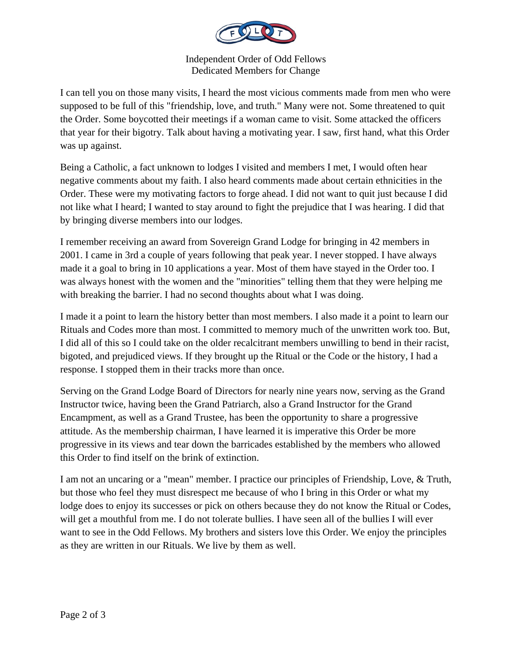

Independent Order of Odd Fellows Dedicated Members for Change

I can tell you on those many visits, I heard the most vicious comments made from men who were supposed to be full of this "friendship, love, and truth." Many were not. Some threatened to quit the Order. Some boycotted their meetings if a woman came to visit. Some attacked the officers that year for their bigotry. Talk about having a motivating year. I saw, first hand, what this Order was up against.

Being a Catholic, a fact unknown to lodges I visited and members I met, I would often hear negative comments about my faith. I also heard comments made about certain ethnicities in the Order. These were my motivating factors to forge ahead. I did not want to quit just because I did not like what I heard; I wanted to stay around to fight the prejudice that I was hearing. I did that by bringing diverse members into our lodges.

I remember receiving an award from Sovereign Grand Lodge for bringing in 42 members in 2001. I came in 3rd a couple of years following that peak year. I never stopped. I have always made it a goal to bring in 10 applications a year. Most of them have stayed in the Order too. I was always honest with the women and the "minorities" telling them that they were helping me with breaking the barrier. I had no second thoughts about what I was doing.

I made it a point to learn the history better than most members. I also made it a point to learn our Rituals and Codes more than most. I committed to memory much of the unwritten work too. But, I did all of this so I could take on the older recalcitrant members unwilling to bend in their racist, bigoted, and prejudiced views. If they brought up the Ritual or the Code or the history, I had a response. I stopped them in their tracks more than once.

Serving on the Grand Lodge Board of Directors for nearly nine years now, serving as the Grand Instructor twice, having been the Grand Patriarch, also a Grand Instructor for the Grand Encampment, as well as a Grand Trustee, has been the opportunity to share a progressive attitude. As the membership chairman, I have learned it is imperative this Order be more progressive in its views and tear down the barricades established by the members who allowed this Order to find itself on the brink of extinction.

I am not an uncaring or a "mean" member. I practice our principles of Friendship, Love, & Truth, but those who feel they must disrespect me because of who I bring in this Order or what my lodge does to enjoy its successes or pick on others because they do not know the Ritual or Codes, will get a mouthful from me. I do not tolerate bullies. I have seen all of the bullies I will ever want to see in the Odd Fellows. My brothers and sisters love this Order. We enjoy the principles as they are written in our Rituals. We live by them as well.